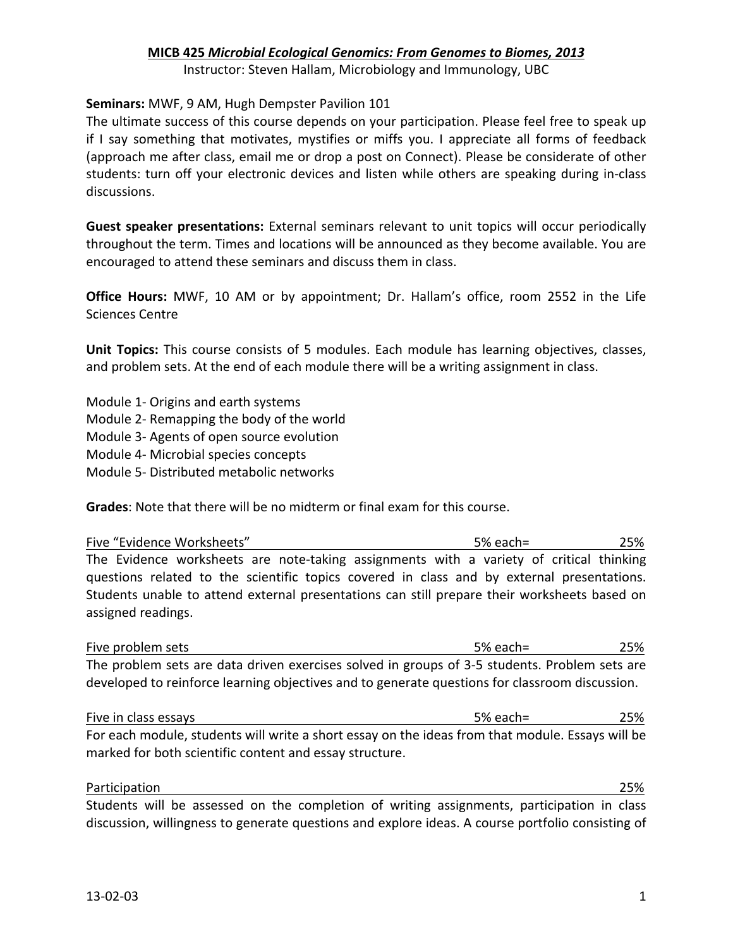# **MICB%425%***Microbial Ecological+Genomics:+From+Genomes+to+Biomes,+2013*

Instructor: Steven Hallam, Microbiology and Immunology, UBC

### **Seminars: MWF, 9 AM, Hugh Dempster Pavilion 101**

The ultimate success of this course depends on your participation. Please feel free to speak up if I say something that motivates, mystifies or miffs you. I appreciate all forms of feedback (approach me after class, email me or drop a post on Connect). Please be considerate of other students: turn off your electronic devices and listen while others are speaking during in-class discussions.

**Guest speaker presentations:** External seminars relevant to unit topics will occur periodically throughout the term. Times and locations will be announced as they become available. You are encouraged to attend these seminars and discuss them in class.

**Office Hours:** MWF, 10 AM or by appointment; Dr. Hallam's office, room 2552 in the Life Sciences Centre

**Unit Topics:** This course consists of 5 modules. Each module has learning objectives, classes, and problem sets. At the end of each module there will be a writing assignment in class.

Module 1- Origins and earth systems Module 2- Remapping the body of the world Module 3- Agents of open source evolution Module 4- Microbial species concepts Module 5- Distributed metabolic networks

**Grades:** Note that there will be no midterm or final exam for this course.

| Five "Evidence Worksheets"                                                                   | 5% each= | 25% |
|----------------------------------------------------------------------------------------------|----------|-----|
| The Evidence worksheets are note-taking assignments with a variety of critical thinking      |          |     |
| questions related to the scientific topics covered in class and by external presentations.   |          |     |
| Students unable to attend external presentations can still prepare their worksheets based on |          |     |
| assigned readings.                                                                           |          |     |

| Five problem sets                                                                              | .5% each= | 25% |
|------------------------------------------------------------------------------------------------|-----------|-----|
| The problem sets are data driven exercises solved in groups of 3-5 students. Problem sets are  |           |     |
| developed to reinforce learning objectives and to generate questions for classroom discussion. |           |     |

Five in class essays The Controller Controller and the Society of the Society of the Society of the Society of the Society of the Society of the Society of the Society of the Society of the Society of the Society of the So For each module, students will write a short essay on the ideas from that module. Essays will be marked for both scientific content and essay structure.

 $\blacksquare$  Participation  $\blacksquare$ Students will be assessed on the completion of writing assignments, participation in class discussion, willingness to generate questions and explore ideas. A course portfolio consisting of